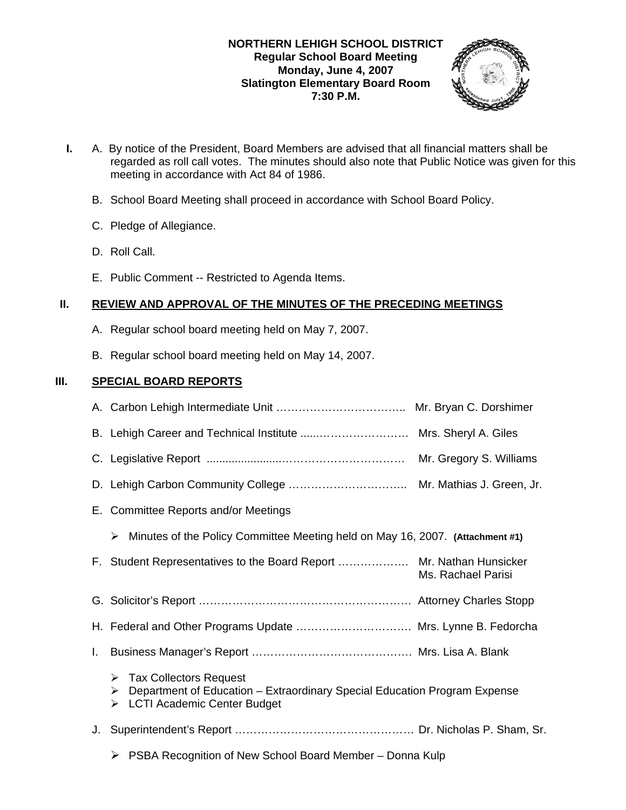### **NORTHERN LEHIGH SCHOOL DISTRICT Regular School Board Meeting Monday, June 4, 2007 Slatington Elementary Board Room 7:30 P.M.**



- **I.** A. By notice of the President, Board Members are advised that all financial matters shall be regarded as roll call votes. The minutes should also note that Public Notice was given for this meeting in accordance with Act 84 of 1986.
	- B. School Board Meeting shall proceed in accordance with School Board Policy.
	- C. Pledge of Allegiance.
	- D. Roll Call.
	- E. Public Comment -- Restricted to Agenda Items.

## **II. REVIEW AND APPROVAL OF THE MINUTES OF THE PRECEDING MEETINGS**

- A. Regular school board meeting held on May 7, 2007.
- B. Regular school board meeting held on May 14, 2007.

## **III. SPECIAL BOARD REPORTS**

|    | B. Lehigh Career and Technical Institute  Mrs. Sheryl A. Giles                                                                                        |                    |
|----|-------------------------------------------------------------------------------------------------------------------------------------------------------|--------------------|
|    |                                                                                                                                                       |                    |
|    |                                                                                                                                                       |                    |
|    | E. Committee Reports and/or Meetings                                                                                                                  |                    |
|    | Minutes of the Policy Committee Meeting held on May 16, 2007. (Attachment #1)<br>➤                                                                    |                    |
|    | F. Student Representatives to the Board Report  Mr. Nathan Hunsicker                                                                                  | Ms. Rachael Parisi |
|    |                                                                                                                                                       |                    |
|    | H. Federal and Other Programs Update  Mrs. Lynne B. Fedorcha                                                                                          |                    |
| I. |                                                                                                                                                       |                    |
|    | $\triangleright$ Tax Collectors Request<br>Department of Education - Extraordinary Special Education Program Expense<br>> LCTI Academic Center Budget |                    |
|    |                                                                                                                                                       |                    |
|    | $\triangleright$ PSBA Recognition of New School Board Member – Donna Kulp                                                                             |                    |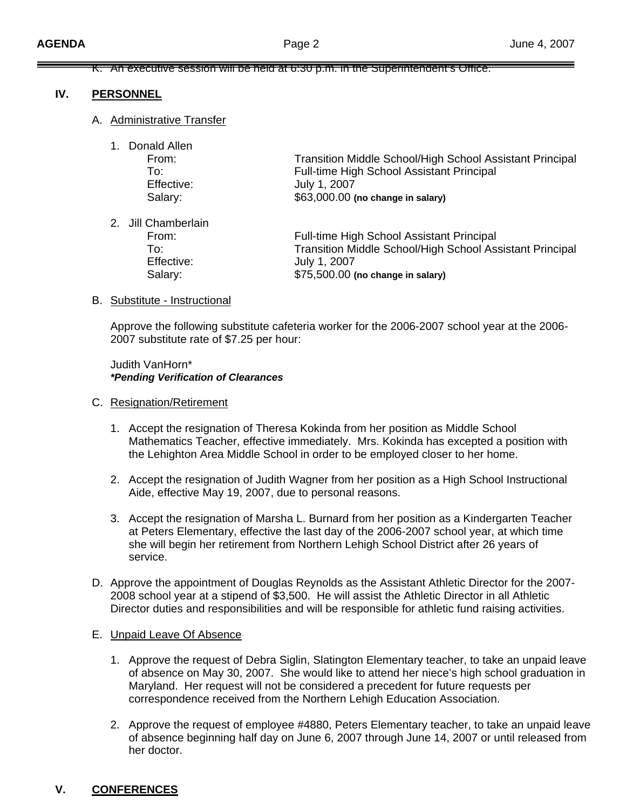#### K. An executive session will be held at 6:30 p.m. in the Superintendent's Office.

### **IV. PERSONNEL**

### A. Administrative Transfer

| 1. | Donald Allen        |                                                                 |
|----|---------------------|-----------------------------------------------------------------|
|    | From:               | <b>Transition Middle School/High School Assistant Principal</b> |
|    | To:                 | <b>Full-time High School Assistant Principal</b>                |
|    | Effective:          | July 1, 2007                                                    |
|    | Salary:             | \$63,000.00 (no change in salary)                               |
|    | 2. Jill Chamberlain |                                                                 |

2. Jill Chamberlain

 From: Full-time High School Assistant Principal To: Transition Middle School/High School Assistant Principal Effective: July 1, 2007 Salary: \$75,500.00 **(no change in salary)**

### B. Substitute - Instructional

Approve the following substitute cafeteria worker for the 2006-2007 school year at the 2006- 2007 substitute rate of \$7.25 per hour:

 Judith VanHorn\* *\*Pending Verification of Clearances* 

#### C. Resignation/Retirement

- 1. Accept the resignation of Theresa Kokinda from her position as Middle School Mathematics Teacher, effective immediately. Mrs. Kokinda has excepted a position with the Lehighton Area Middle School in order to be employed closer to her home.
- 2. Accept the resignation of Judith Wagner from her position as a High School Instructional Aide, effective May 19, 2007, due to personal reasons.
- 3. Accept the resignation of Marsha L. Burnard from her position as a Kindergarten Teacher at Peters Elementary, effective the last day of the 2006-2007 school year, at which time she will begin her retirement from Northern Lehigh School District after 26 years of service.
- D. Approve the appointment of Douglas Reynolds as the Assistant Athletic Director for the 2007- 2008 school year at a stipend of \$3,500. He will assist the Athletic Director in all Athletic Director duties and responsibilities and will be responsible for athletic fund raising activities.

### E. Unpaid Leave Of Absence

- 1. Approve the request of Debra Siglin, Slatington Elementary teacher, to take an unpaid leave of absence on May 30, 2007. She would like to attend her niece's high school graduation in Maryland. Her request will not be considered a precedent for future requests per correspondence received from the Northern Lehigh Education Association.
- 2. Approve the request of employee #4880, Peters Elementary teacher, to take an unpaid leave of absence beginning half day on June 6, 2007 through June 14, 2007 or until released from her doctor.

### **V. CONFERENCES**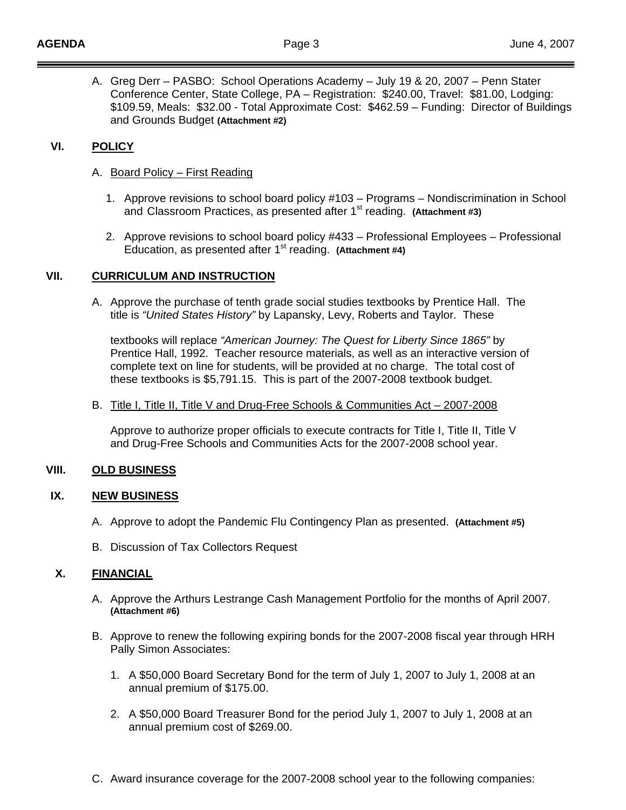A. Greg Derr – PASBO: School Operations Academy – July 19 & 20, 2007 – Penn Stater Conference Center, State College, PA – Registration: \$240.00, Travel: \$81.00, Lodging: \$109.59, Meals: \$32.00 - Total Approximate Cost: \$462.59 – Funding: Director of Buildings and Grounds Budget **(Attachment #2)** 

### **VI. POLICY**

- A. Board Policy First Reading
	- 1. Approve revisions to school board policy #103 Programs Nondiscrimination in School and Classroom Practices, as presented after 1<sup>st</sup> reading. (Attachment #3)
	- 2. Approve revisions to school board policy #433 Professional Employees Professional Education, as presented after 1<sup>st</sup> reading. (Attachment #4)

### **VII. CURRICULUM AND INSTRUCTION**

A. Approve the purchase of tenth grade social studies textbooks by Prentice Hall. The title is *"United States History"* by Lapansky, Levy, Roberts and Taylor. These

 textbooks will replace *"American Journey: The Quest for Liberty Since 1865"* by Prentice Hall, 1992. Teacher resource materials, as well as an interactive version of complete text on line for students, will be provided at no charge. The total cost of these textbooks is \$5,791.15. This is part of the 2007-2008 textbook budget.

### B. Title I, Title II, Title V and Drug-Free Schools & Communities Act – 2007-2008

Approve to authorize proper officials to execute contracts for Title I, Title II, Title V and Drug-Free Schools and Communities Acts for the 2007-2008 school year.

### **VIII. OLD BUSINESS**

### **IX. NEW BUSINESS**

- A. Approve to adopt the Pandemic Flu Contingency Plan as presented. **(Attachment #5)**
- B. Discussion of Tax Collectors Request

# **X. FINANCIAL**

- A. Approve the Arthurs Lestrange Cash Management Portfolio for the months of April 2007. **(Attachment #6)**
- B. Approve to renew the following expiring bonds for the 2007-2008 fiscal year through HRH Pally Simon Associates:
	- 1. A \$50,000 Board Secretary Bond for the term of July 1, 2007 to July 1, 2008 at an annual premium of \$175.00.
	- 2. A \$50,000 Board Treasurer Bond for the period July 1, 2007 to July 1, 2008 at an annual premium cost of \$269.00.
- C. Award insurance coverage for the 2007-2008 school year to the following companies: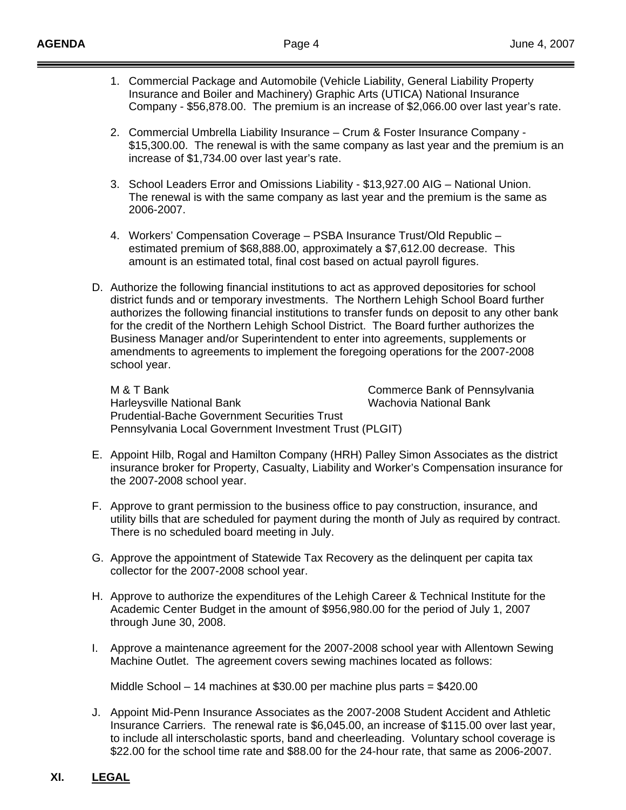- 1. Commercial Package and Automobile (Vehicle Liability, General Liability Property Insurance and Boiler and Machinery) Graphic Arts (UTICA) National Insurance Company - \$56,878.00. The premium is an increase of \$2,066.00 over last year's rate.
- 2. Commercial Umbrella Liability Insurance Crum & Foster Insurance Company \$15,300.00. The renewal is with the same company as last year and the premium is an increase of \$1,734.00 over last year's rate.
- 3. School Leaders Error and Omissions Liability \$13,927.00 AIG National Union. The renewal is with the same company as last year and the premium is the same as 2006-2007.
- 4. Workers' Compensation Coverage PSBA Insurance Trust/Old Republic estimated premium of \$68,888.00, approximately a \$7,612.00 decrease. This amount is an estimated total, final cost based on actual payroll figures.
- D. Authorize the following financial institutions to act as approved depositories for school district funds and or temporary investments. The Northern Lehigh School Board further authorizes the following financial institutions to transfer funds on deposit to any other bank for the credit of the Northern Lehigh School District. The Board further authorizes the Business Manager and/or Superintendent to enter into agreements, supplements or amendments to agreements to implement the foregoing operations for the 2007-2008 school year.

M & T Bank Commerce Bank of Pennsylvania Harleysville National Bank Wachovia National Bank Prudential-Bache Government Securities Trust Pennsylvania Local Government Investment Trust (PLGIT)

- E. Appoint Hilb, Rogal and Hamilton Company (HRH) Palley Simon Associates as the district insurance broker for Property, Casualty, Liability and Worker's Compensation insurance for the 2007-2008 school year.
- F. Approve to grant permission to the business office to pay construction, insurance, and utility bills that are scheduled for payment during the month of July as required by contract. There is no scheduled board meeting in July.
- G. Approve the appointment of Statewide Tax Recovery as the delinquent per capita tax collector for the 2007-2008 school year.
- H. Approve to authorize the expenditures of the Lehigh Career & Technical Institute for the Academic Center Budget in the amount of \$956,980.00 for the period of July 1, 2007 through June 30, 2008.
- I. Approve a maintenance agreement for the 2007-2008 school year with Allentown Sewing Machine Outlet. The agreement covers sewing machines located as follows:

Middle School – 14 machines at \$30.00 per machine plus parts = \$420.00

J. Appoint Mid-Penn Insurance Associates as the 2007-2008 Student Accident and Athletic Insurance Carriers. The renewal rate is \$6,045.00, an increase of \$115.00 over last year, to include all interscholastic sports, band and cheerleading. Voluntary school coverage is \$22.00 for the school time rate and \$88.00 for the 24-hour rate, that same as 2006-2007.

# **XI. LEGAL**